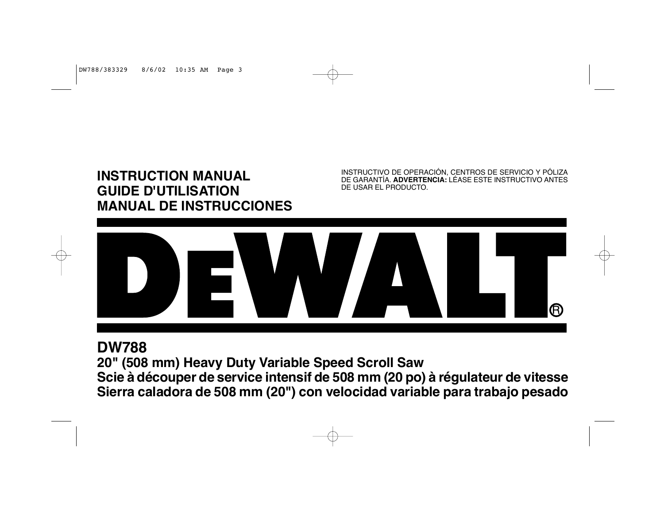# **INSTRUCTION MANUAL GUIDE D'UTILISATION MANUAL DE INSTRUCCIONES**

INSTRUCTIVO DE OPERACIÓN, CENTROS DE SERVICIO Y PÓLIZA DE GARANTÍA. **ADVERTENCIA:** LÉASE ESTE INSTRUCTIVO ANTES DE USAR EL PRODUCTO.



# **DW788**

**20" (508 mm) Heavy Duty Variable Speed Scroll Saw Scie à découper de service intensif de 508 mm (20 po) à régulateur de vitesse Sierra caladora de 508 mm (20") con velocidad variable para trabajo pesado**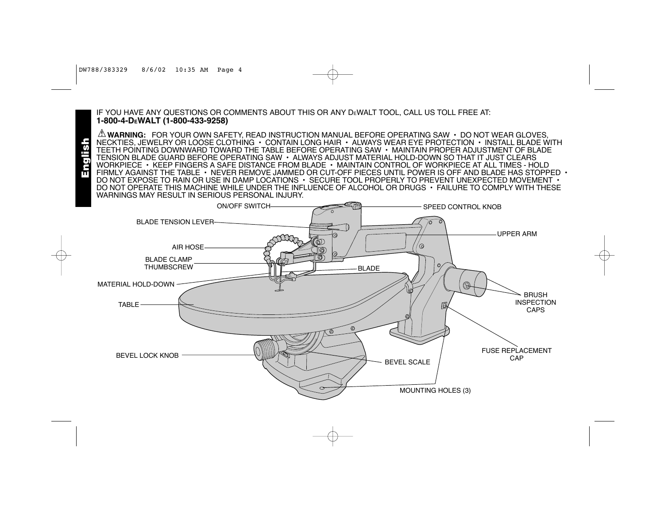English

IF YOU HAVE ANY QUESTIONS OR COMMENTS ABOUT THIS OR ANY DEWALT TOOL, CALL US TOLL FREE AT: **1-800-4-DEWALT (1-800-433-9258)** 

**WARNING:** FOR YOUR OWN SAFETY, READ INSTRUCTION MANUAL BEFORE OPERATING SAW • DO NOT WEAR GLOVES, NECKTIES, JEWELRY OR LOOSE CLOTHING • CONTAIN LONG HAIR • ALWAYS WEAR EYE PROTECTION • INSTALL BLADE WITH TEETH POINTING DOWNWARD TOWARD THE TABLE BEFORE OPERATING SAW • MAINTAIN PROPER ADJUSTMENT OF BLADE TENSION BLADE GUARD BEFORE OPERATING SAW • ALWAYS ADJUST MATERIAL HOLD-DOWN SO THAT IT JUST CLEARS WORKPIECE • KEEP FINGERS A SAFE DISTANCE FROM BLADE • MAINTAIN CONTROL OF WORKPIECE AT ALL TIMES - HOLD FIRMLY AGAINST THE TABLE • NEVER REMOVE JAMMED OR CUT-OFF PIECES UNTIL POWER IS OFF AND BLADE HAS STOPPED • DO NOT EXPOSE TO RAIN OR USE IN DAMP LOCATIONS • SECURE TOOL PROPERLY TO PREVENT UNEXPECTED MOVEMENT • DO NOT OPERATE THIS MACHINE WHILE UNDER THE INFLUENCE OF ALCOHOL OR DRUGS • FAILURE TO COMPLY WITH THESE WARNINGS MAY RESULT IN SERIOUS PERSONAL INJURY.

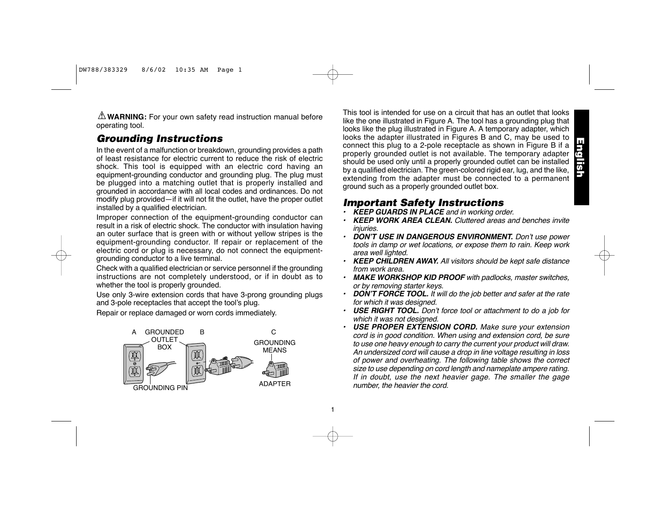**WARNING:** For your own safety read instruction manual before operating tool.

# *Grounding Instructions*

In the event of a malfunction or breakdown, grounding provides a path of least resistance for electric current to reduce the risk of electric shock. This tool is equipped with an electric cord having an equipment-grounding conductor and grounding plug. The plug must be plugged into a matching outlet that is properly installed and grounded in accordance with all local codes and ordinances. Do not modify plug provided—if it will not fit the outlet, have the proper outlet installed by a qualified electrician.

Improper connection of the equipment-grounding conductor can result in a risk of electric shock. The conductor with insulation having an outer surface that is green with or without yellow stripes is the equipment-grounding conductor. If repair or replacement of the electric cord or plug is necessary, do not connect the equipmentgrounding conductor to a live terminal.

Check with a qualified electrician or service personnel if the grounding instructions are not completely understood, or if in doubt as to whether the tool is properly grounded.

Use only 3-wire extension cords that have 3-prong grounding plugs and 3-pole receptacles that accept the tool's plug.

Repair or replace damaged or worn cords immediately.



1

This tool is intended for use on a circuit that has an outlet that looks like the one illustrated in Figure A. The tool has a grounding plug that looks like the plug illustrated in Figure A. A temporary adapter, which looks the adapter illustrated in Figures B and C, may be used to connect this plug to a 2-pole receptacle as shown in Figure B if a properly grounded outlet is not available. The temporary adapter should be used only until a properly grounded outlet can be installed by a qualified electrician. The green-colored rigid ear, lug, and the like, extending from the adapter must be connected to a permanent ground such as a properly grounded outlet box.

# *Important Safety Instructions*

- *• KEEP GUARDS IN PLACE and in working order.*
- *• KEEP WORK AREA CLEAN. Cluttered areas and benches invite injuries.*
- *• DON'T USE IN DANGEROUS ENVIRONMENT. Don't use power tools in damp or wet locations, or expose them to rain. Keep work area well lighted.*
- *• KEEP CHILDREN AWAY. All visitors should be kept safe distance from work area.*
- *• MAKE WORKSHOP KID PROOF with padlocks, master switches, or by removing starter keys.*
- *• DON'T FORCE TOOL. It will do the job better and safer at the rate for which it was designed.*
- *• USE RIGHT TOOL. Don't force tool or attachment to do a job for which it was not designed.*
- *• USE PROPER EXTENSION CORD. Make sure your extension cord is in good condition. When using and extension cord, be sure to use one heavy enough to carry the current your product will draw. An undersized cord will cause a drop in line voltage resulting in loss of power and overheating. The following table shows the correct size to use depending on cord length and nameplate ampere rating. If in doubt, use the next heavier gage. The smaller the gage number, the heavier the cord.*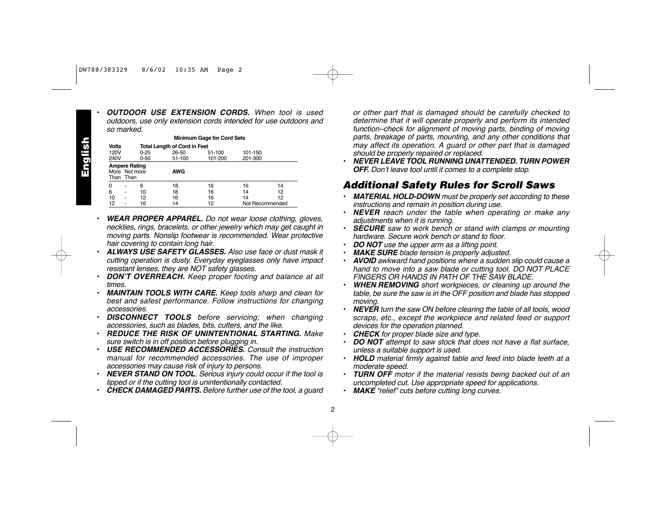*•*

English

*•*

 *OUTDOOR USE EXTENSION CORDS. When tool is used outdoors, use only extension cords intended for use outdoors and so marked.*

**Minimum Gage for Cord Sets Volts Total Length of Cord in Feet**<br>120V 0-25 26-50 51-100 101-150 240V 0-50 51-100 101-200 201-300 **Ampere Rating** More Not more **AWG** Than Than 0 - 6 18 16 16 14 6 - 10 18 16 14 12 10 - 12 16 16 14 12 12 - 16 14 12 Not Recommended

- *WEAR PROPER APPAREL. Do not wear loose clothing, gloves, neckties, rings, bracelets, or other jewelry which may get caught in moving parts. Nonslip footwear is recommended. Wear protective hair covering to contain long hair.*
- *• ALWAYS USE SAFETY GLASSES. Also use face or dust mask it cutting operation is dusty. Everyday eyeglasses only have impact resistant lenses, they are NOT safety glasses.*
- *• DON'T OVERREACH. Keep proper footing and balance at all times.*
- *• MAINTAIN TOOLS WITH CARE. Keep tools sharp and clean for best and safest performance. Follow instructions for changing accessories.*
- *• DISCONNECT TOOLS before servicing; when changing accessories, such as blades, bits, cutters, and the like.*
- *• REDUCE THE RISK OF UNINTENTIONAL STARTING. Make sure switch is in off position before plugging in.*
- *• USE RECOMMENDED ACCESSORIES. Consult the instruction manual for recommended accessories. The use of improper accessories may cause risk of injury to persons.*
- *• NEVER STAND ON TOOL. Serious injury could occur if the tool is tipped or if the cutting tool is unintentionally contacted.*
- *• CHECK DAMAGED PARTS. Before further use of the tool, a guard*

*or other part that is damaged should be carefully checked to determine that it will operate properly and perform its intended function–check for alignment of moving parts, binding of moving parts, breakage of parts, mounting, and any other conditions that may affect its operation. A guard or other part that is damaged should be properly repaired or replaced.*

*• NEVER LEAVE TOOL RUNNING UNATTENDED. TURN POWER OFF. Don't leave tool until it comes to a complete stop.*

### *Additional Safety Rules for Scroll Saws*

- *• MATERIAL HOLD-DOWN must be properly set according to these instructions and remain in position during use.*
- *• NEVER reach under the table when operating or make any adjustments when it is running.*
- *• SECURE saw to work bench or stand with clamps or mounting hardware. Secure work bench or stand to floor.*
- *•DO NOT use the upper arm as a lifting point.*
- *•MAKE SURE blade tension is properly adjusted.*
- *• AVOID awkward hand positions where a sudden slip could cause a hand to move into a saw blade or cutting tool. DO NOT PLACE FINGERS OR HANDS IN PATH OF THE SAW BLADE.*
- *• WHEN REMOVING short workpieces, or cleaning up around the table, be sure the saw is in the OFF position and blade has stopped moving.*
- *• NEVER turn the saw ON before clearing the table of all tools, wood scraps, etc., except the workpiece and related feed or support devices for the operation planned.*
- *•CHECK for proper blade size and type.*
- *• DO NOT attempt to saw stock that does not have a flat surface, unless a suitable support is used.*
- *• HOLD material firmly against table and feed into blade teeth at a moderate speed.*
- *• TURN OFF motor if the material resists being backed out of an uncompleted cut. Use appropriate speed for applications.*
- *• MAKE "relief" cuts before cutting long curves.*

2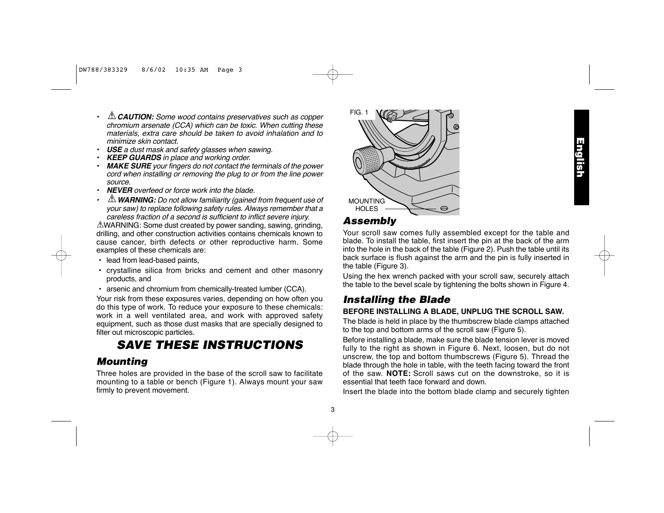- *• CAUTION: Some wood contains preservatives such as copper chromium arsenate (CCA) which can be toxic. When cutting these materials, extra care should be taken to avoid inhalation and to minimize skin contact.*
- *• USE a dust mask and safety glasses when sawing.*
- *•KEEP GUARDS in place and working order.*
- *• MAKE SURE your fingers do not contact the terminals of the power cord when installing or removing the plug to or from the line power source.*
- *• NEVER overfeed or force work into the blade.*
- *• WARNING: Do not allow familiarity (gained from frequent use of your saw) to replace following safety rules. Always remember that a careless fraction of a second is sufficient to inflict severe injury.*

WARNING: Some dust created by power sanding, sawing, grinding, drilling, and other construction activities contains chemicals known to cause cancer, birth defects or other reproductive harm. Some examples of these chemicals are:

- lead from lead-based paints,
- crystalline silica from bricks and cement and other masonry products, and
- arsenic and chromium from chemically-treated lumber (CCA).

Your risk from these exposures varies, depending on how often you do this type of work. To reduce your exposure to these chemicals: work in a well ventilated area, and work with approved safety equipment, such as those dust masks that are specially designed to filter out microscopic particles.

# *SAVE THESE INSTRUCTIONS*

# *Mounting*

Three holes are provided in the base of the scroll saw to facilitate mounting to a table or bench (Figure 1). Always mount your saw firmly to prevent movement.



### *Assembly*

3

Your scroll saw comes fully assembled except for the table and blade. To install the table, first insert the pin at the back of the arm into the hole in the back of the table (Figure 2). Push the table until its back surface is flush against the arm and the pin is fully inserted in the table (Figure 3).

Using the hex wrench packed with your scroll saw, securely attach the table to the bevel scale by tightening the bolts shown in Figure 4.

# *Installing the Blade*

### **BEFORE INSTALLING A BLADE, UNPLUG THE SCROLL SAW.**

The blade is held in place by the thumbscrew blade clamps attached to the top and bottom arms of the scroll saw (Figure 5).

Before installing a blade, make sure the blade tension lever is moved fully to the right as shown in Figure 6. Next, loosen, but do not unscrew, the top and bottom thumbscrews (Figure 5). Thread the blade through the hole in table, with the teeth facing toward the front of the saw. **NOTE:** Scroll saws cut on the downstroke, so it is essential that teeth face forward and down.

Insert the blade into the bottom blade clamp and securely tighten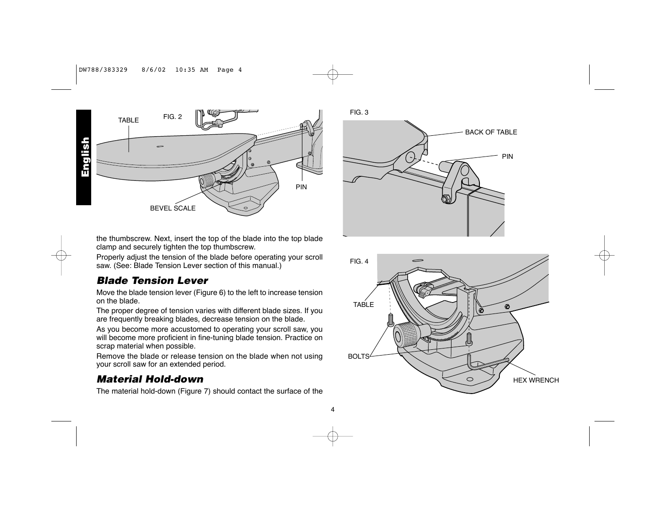### DW788/383329 8/6/02 10:35 AM Page 4



4



the thumbscrew. Next, insert the top of the blade into the top blade clamp and securely tighten the top thumbscrew.

Properly adjust the tension of the blade before operating your scroll saw. (See: Blade Tension Lever section of this manual.)

# *Blade Tension Lever*

Move the blade tension lever (Figure 6) to the left to increase tension on the blade.

The proper degree of tension varies with different blade sizes. If you are frequently breaking blades, decrease tension on the blade.

As you become more accustomed to operating your scroll saw, you will become more proficient in fine-tuning blade tension. Practice on scrap material when possible.

Remove the blade or release tension on the blade when not using your scroll saw for an extended period.

# *Material Hold-down*

The material hold-down (Figure 7) should contact the surface of the



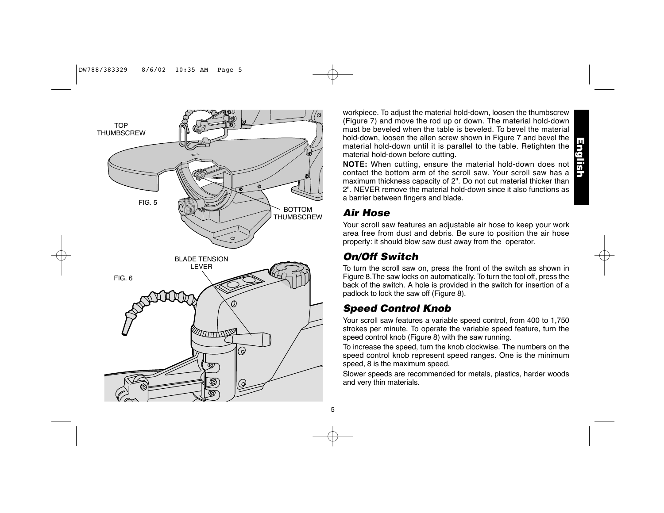

workpiece. To adjust the material hold-down, loosen the thumbscrew (Figure 7) and move the rod up or down. The material hold-down must be beveled when the table is beveled. To bevel the material hold-down, loosen the allen screw shown in Figure 7 and bevel the material hold-down until it is parallel to the table. Retighten the material hold-down before cutting.

**NOTE:** When cutting, ensure the material hold-down does not contact the bottom arm of the scroll saw. Your scroll saw has a maximum thickness capacity of 2". Do not cut material thicker than 2". NEVER remove the material hold-down since it also functions as a barrier between fingers and blade.

### *Air Hose*

Your scroll saw features an adjustable air hose to keep your work area free from dust and debris. Be sure to position the air hose properly: it should blow saw dust away from the operator.

# *On/Off Switch*

To turn the scroll saw on, press the front of the switch as shown in Figure 8.The saw locks on automatically. To turn the tool off, press the back of the switch. A hole is provided in the switch for insertion of a padlock to lock the saw off (Figure 8).

# *Speed Control Knob*

Your scroll saw features a variable speed control, from 400 to 1,750 strokes per minute. To operate the variable speed feature, turn the speed control knob (Figure 8) with the saw running.

To increase the speed, turn the knob clockwise. The numbers on the speed control knob represent speed ranges. One is the minimum speed, 8 is the maximum speed.

Slower speeds are recommended for metals, plastics, harder woods and very thin materials.

English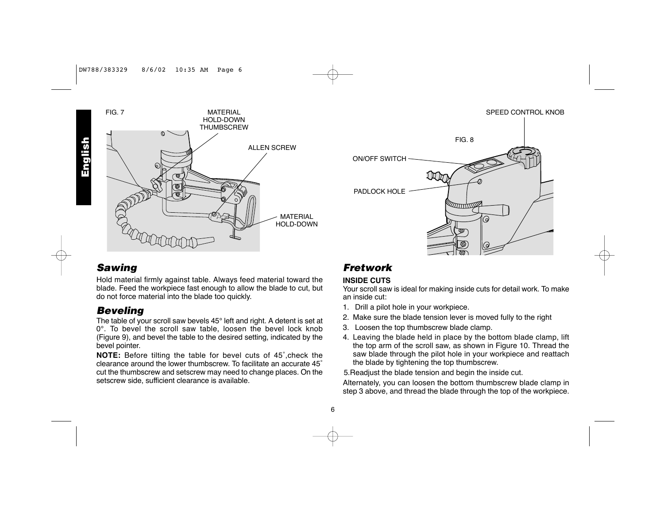

# *Sawing*

Hold material firmly against table. Always feed material toward the blade. Feed the workpiece fast enough to allow the blade to cut, but do not force material into the blade too quickly.

### *Beveling*

The table of your scroll saw bevels 45° left and right. A detent is set at 0°. To bevel the scroll saw table, loosen the bevel lock knob (Figure 9), and bevel the table to the desired setting, indicated by the bevel pointer.

**NOTE:** Before tilting the table for bevel cuts of 45˚,check the clearance around the lower thumbscrew. To facilitate an accurate 45˚ cut the thumbscrew and setscrew may need to change places. On the setscrew side, sufficient clearance is available.

# *Fretwork*

PADLOCK HOLE

### **INSIDE CUTS**

6

Your scroll saw is ideal for making inside cuts for detail work. To make an inside cut:

SPEED CONTROL KNOB

- 1. Drill a pilot hole in your workpiece.
- 2. Make sure the blade tension lever is moved fully to the right
- 3. Loosen the top thumbscrew blade clamp.
- 4. Leaving the blade held in place by the bottom blade clamp, lift the top arm of the scroll saw, as shown in Figure 10. Thread the saw blade through the pilot hole in your workpiece and reattach the blade by tightening the top thumbscrew.

5.Readjust the blade tension and begin the inside cut.

Alternately, you can loosen the bottom thumbscrew blade clamp in step 3 above, and thread the blade through the top of the workpiece.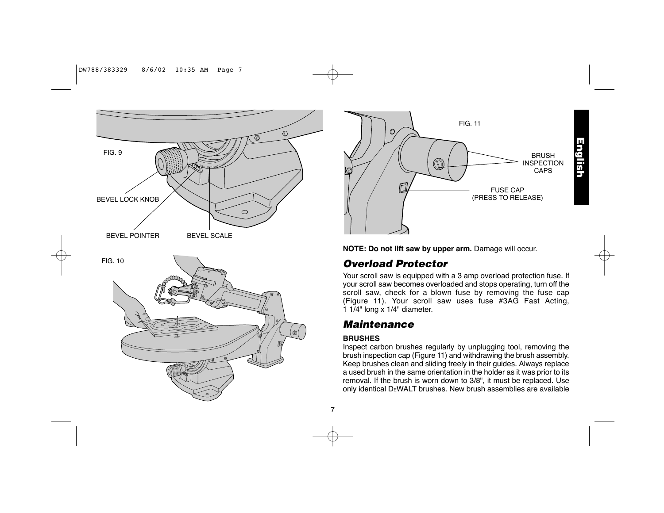### DW788/383329 8/6/02 10:35 AM Page 7





**NOTE: Do not lift saw by upper arm.** Damage will occur.

# *Overload Protector*

Your scroll saw is equipped with a 3 amp overload protection fuse. If your scroll saw becomes overloaded and stops operating, turn off the scroll saw, check for a blown fuse by removing the fuse cap (Figure 11). Your scroll saw uses fuse #3AG Fast Acting, 1 1/4" long <sup>x</sup> 1/4" diameter.

# *Maintenance*

### **BRUSHES**

Inspect carbon brushes regularly by unplugging tool, removing the brush inspection cap (Figure 11) and withdrawing the brush assembly. Keep brushes clean and sliding freely in their guides. Always replace a used brush in the same orientation in the holder as it was prior to its removal. If the brush is worn down to 3/8", it must be replaced. Use only identical DEWALT brushes. New brush assemblies are available